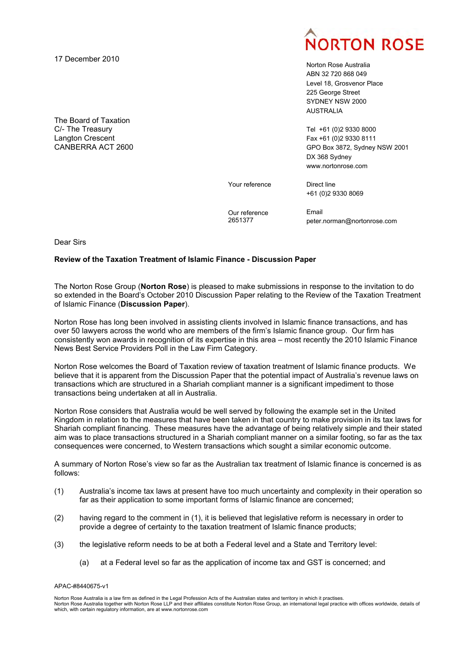17 December 2010

The Board of Taxation C/- The Treasury Langton Crescent CANBERRA ACT 2600



Norton Rose Australia ABN 32 720 868 049 Level 18, Grosvenor Place 225 George Street SYDNEY NSW 2000 AUSTRALIA

Tel +61 (0)2 9330 8000 Fax +61 (0)2 9330 8111 GPO Box 3872, Sydney NSW 2001 DX 368 Sydney <www.nortonrose.com>

Your reference

Direct line +61 (0)2 9330 8069

Our reference 2651377

Email peter.norman@nortonrose.com

Dear Sirs

### **Review of the Taxation Treatment of Islamic Finance - Discussion Paper**

The Norton Rose Group (**Norton Rose**) is pleased to make submissions in response to the invitation to do so extended in the Board's October 2010 Discussion Paper relating to the Review of the Taxation Treatment of Islamic Finance (**Discussion Paper**).

Norton Rose has long been involved in assisting clients involved in Islamic finance transactions, and has over 50 lawyers across the world who are members of the firm's Islamic finance group. Our firm has consistently won awards in recognition of its expertise in this area – most recently the 2010 Islamic Finance News Best Service Providers Poll in the Law Firm Category.

Norton Rose welcomes the Board of Taxation review of taxation treatment of Islamic finance products. We believe that it is apparent from the Discussion Paper that the potential impact of Australia's revenue laws on transactions which are structured in a Shariah compliant manner is a significant impediment to those transactions being undertaken at all in Australia.

Norton Rose considers that Australia would be well served by following the example set in the United Kingdom in relation to the measures that have been taken in that country to make provision in its tax laws for Shariah compliant financing. These measures have the advantage of being relatively simple and their stated aim was to place transactions structured in a Shariah compliant manner on a similar footing, so far as the tax consequences were concerned, to Western transactions which sought a similar economic outcome.

A summary of Norton Rose's view so far as the Australian tax treatment of Islamic finance is concerned is as follows:

- (1) Australia's income tax laws at present have too much uncertainty and complexity in their operation so far as their application to some important forms of Islamic finance are concerned;
- (2) having regard to the comment in (1), it is believed that legislative reform is necessary in order to provide a degree of certainty to the taxation treatment of Islamic finance products;
- (3) the legislative reform needs to be at both a Federal level and a State and Territory level:
	- (a) at a Federal level so far as the application of income tax and GST is concerned; and

#### APAC-#8440675-v1

Norton Rose Australia is a law firm as defined in the Legal Profession Acts of the Australian states and territory in which it practises. Norton Rose Australia together with Norton Rose LLP and their affiliates constitute Norton Rose Group, an international legal practice with offices worldwide, details of which, with certain regulatory information, are at <www.nortonrose.com>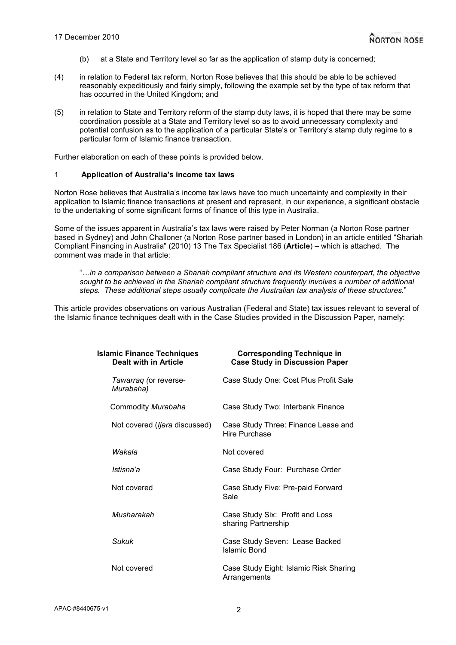- (b) at a State and Territory level so far as the application of stamp duty is concerned;
- (4) in relation to Federal tax reform, Norton Rose believes that this should be able to be achieved reasonably expeditiously and fairly simply, following the example set by the type of tax reform that has occurred in the United Kingdom; and
- (5) in relation to State and Territory reform of the stamp duty laws, it is hoped that there may be some coordination possible at a State and Territory level so as to avoid unnecessary complexity and potential confusion as to the application of a particular State's or Territory's stamp duty regime to a particular form of Islamic finance transaction.

Further elaboration on each of these points is provided below.

#### 1 **Application of Australia's income tax laws**

Norton Rose believes that Australia's income tax laws have too much uncertainty and complexity in their application to Islamic finance transactions at present and represent, in our experience, a significant obstacle to the undertaking of some significant forms of finance of this type in Australia.

Some of the issues apparent in Australia's tax laws were raised by Peter Norman (a Norton Rose partner based in Sydney) and John Challoner (a Norton Rose partner based in London) in an article entitled "Shariah Compliant Financing in Australia" (2010) 13 The Tax Specialist 186 (**Article**) – which is attached. The comment was made in that article:

"*…in a comparison between a Shariah compliant structure and its Western counterpart, the objective sought to be achieved in the Shariah compliant structure frequently involves a number of additional steps. These additional steps usually complicate the Australian tax analysis of these structures.*"

This article provides observations on various Australian (Federal and State) tax issues relevant to several of the Islamic finance techniques dealt with in the Case Studies provided in the Discussion Paper, namely:

| <b>Islamic Finance Techniques</b><br>Dealt with in Article | <b>Corresponding Technique in</b><br><b>Case Study in Discussion Paper</b> |
|------------------------------------------------------------|----------------------------------------------------------------------------|
| Tawarrag (or reverse-<br>Murabaha)                         | Case Study One: Cost Plus Profit Sale                                      |
| Commodity Murabaha                                         | Case Study Two: Interbank Finance                                          |
| Not covered ( <i>ljara</i> discussed)                      | Case Study Three: Finance Lease and<br>Hire Purchase                       |
| Wakala                                                     | Not covered                                                                |
| Istisna'a                                                  | Case Study Four: Purchase Order                                            |
| Not covered                                                | Case Study Five: Pre-paid Forward<br>Sale                                  |
| Musharakah                                                 | Case Study Six: Profit and Loss<br>sharing Partnership                     |
| Sukuk                                                      | Case Study Seven: Lease Backed<br>Islamic Bond                             |
| Not covered                                                | Case Study Eight: Islamic Risk Sharing<br>Arrangements                     |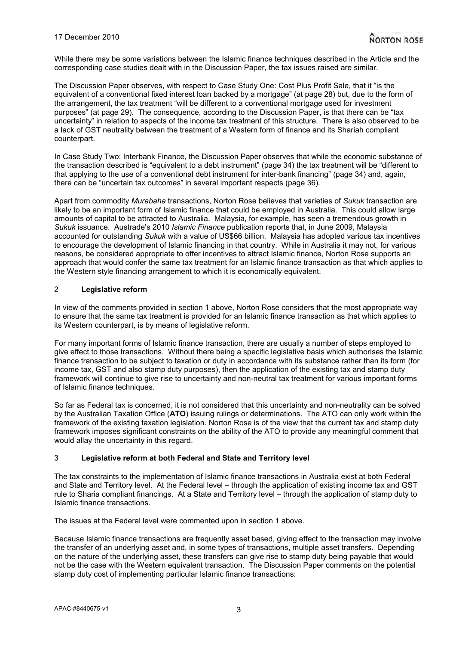While there may be some variations between the Islamic finance techniques described in the Article and the corresponding case studies dealt with in the Discussion Paper, the tax issues raised are similar.

The Discussion Paper observes, with respect to Case Study One: Cost Plus Profit Sale, that it "is the equivalent of a conventional fixed interest loan backed by a mortgage" (at page 28) but, due to the form of the arrangement, the tax treatment "will be different to a conventional mortgage used for investment purposes" (at page 29). The consequence, according to the Discussion Paper, is that there can be "tax uncertainty" in relation to aspects of the income tax treatment of this structure. There is also observed to be a lack of GST neutrality between the treatment of a Western form of finance and its Shariah compliant counterpart.

In Case Study Two: Interbank Finance, the Discussion Paper observes that while the economic substance of the transaction described is "equivalent to a debt instrument" (page 34) the tax treatment will be "different to that applying to the use of a conventional debt instrument for inter-bank financing" (page 34) and, again, there can be "uncertain tax outcomes" in several important respects (page 36).

Apart from commodity *Murabaha* transactions, Norton Rose believes that varieties of *Sukuk* transaction are likely to be an important form of Islamic finance that could be employed in Australia. This could allow large amounts of capital to be attracted to Australia. Malaysia, for example, has seen a tremendous growth in *Sukuk* issuance. Austrade's 2010 *Islamic Finance* publication reports that, in June 2009, Malaysia accounted for outstanding *Sukuk* with a value of US\$66 billion. Malaysia has adopted various tax incentives to encourage the development of Islamic financing in that country. While in Australia it may not, for various reasons, be considered appropriate to offer incentives to attract Islamic finance, Norton Rose supports an approach that would confer the same tax treatment for an Islamic finance transaction as that which applies to the Western style financing arrangement to which it is economically equivalent.

# 2 **Legislative reform**

In view of the comments provided in section 1 above, Norton Rose considers that the most appropriate way to ensure that the same tax treatment is provided for an Islamic finance transaction as that which applies to its Western counterpart, is by means of legislative reform.

For many important forms of Islamic finance transaction, there are usually a number of steps employed to give effect to those transactions. Without there being a specific legislative basis which authorises the Islamic finance transaction to be subject to taxation or duty in accordance with its substance rather than its form (for income tax, GST and also stamp duty purposes), then the application of the existing tax and stamp duty framework will continue to give rise to uncertainty and non-neutral tax treatment for various important forms of Islamic finance techniques.

So far as Federal tax is concerned, it is not considered that this uncertainty and non-neutrality can be solved by the Australian Taxation Office (**ATO**) issuing rulings or determinations. The ATO can only work within the framework of the existing taxation legislation. Norton Rose is of the view that the current tax and stamp duty framework imposes significant constraints on the ability of the ATO to provide any meaningful comment that would allay the uncertainty in this regard.

# 3 **Legislative reform at both Federal and State and Territory level**

The tax constraints to the implementation of Islamic finance transactions in Australia exist at both Federal and State and Territory level. At the Federal level – through the application of existing income tax and GST rule to Sharia compliant financings. At a State and Territory level – through the application of stamp duty to Islamic finance transactions.

The issues at the Federal level were commented upon in section 1 above.

Because Islamic finance transactions are frequently asset based, giving effect to the transaction may involve the transfer of an underlying asset and, in some types of transactions, multiple asset transfers. Depending on the nature of the underlying asset, these transfers can give rise to stamp duty being payable that would not be the case with the Western equivalent transaction. The Discussion Paper comments on the potential stamp duty cost of implementing particular Islamic finance transactions: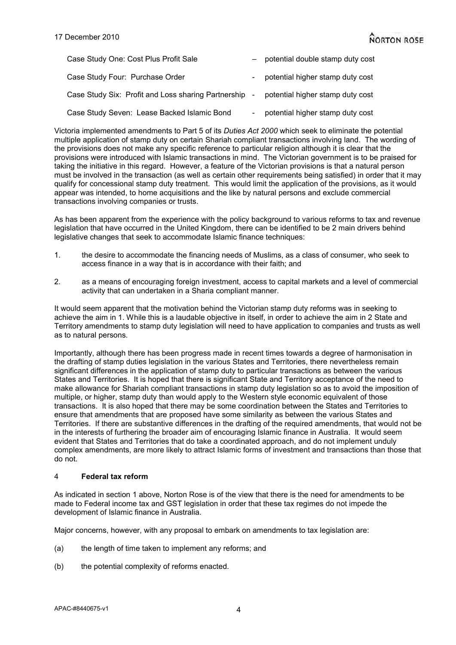| Case Study One: Cost Plus Profit Sale                 | potential double stamp duty cost |
|-------------------------------------------------------|----------------------------------|
| Case Study Four: Purchase Order                       | potential higher stamp duty cost |
| Case Study Six: Profit and Loss sharing Partnership - | potential higher stamp duty cost |
| Case Study Seven: Lease Backed Islamic Bond           | potential higher stamp duty cost |

Victoria implemented amendments to Part 5 of its *Duties Act 2000* which seek to eliminate the potential multiple application of stamp duty on certain Shariah compliant transactions involving land. The wording of the provisions does not make any specific reference to particular religion although it is clear that the provisions were introduced with Islamic transactions in mind. The Victorian government is to be praised for taking the initiative in this regard. However, a feature of the Victorian provisions is that a natural person must be involved in the transaction (as well as certain other requirements being satisfied) in order that it may qualify for concessional stamp duty treatment. This would limit the application of the provisions, as it would appear was intended, to home acquisitions and the like by natural persons and exclude commercial transactions involving companies or trusts.

As has been apparent from the experience with the policy background to various reforms to tax and revenue legislation that have occurred in the United Kingdom, there can be identified to be 2 main drivers behind legislative changes that seek to accommodate Islamic finance techniques:

- 1. the desire to accommodate the financing needs of Muslims, as a class of consumer, who seek to access finance in a way that is in accordance with their faith; and
- 2. as a means of encouraging foreign investment, access to capital markets and a level of commercial activity that can undertaken in a Sharia compliant manner.

It would seem apparent that the motivation behind the Victorian stamp duty reforms was in seeking to achieve the aim in 1. While this is a laudable objective in itself, in order to achieve the aim in 2 State and Territory amendments to stamp duty legislation will need to have application to companies and trusts as well as to natural persons.

Importantly, although there has been progress made in recent times towards a degree of harmonisation in the drafting of stamp duties legislation in the various States and Territories, there nevertheless remain significant differences in the application of stamp duty to particular transactions as between the various States and Territories. It is hoped that there is significant State and Territory acceptance of the need to make allowance for Shariah compliant transactions in stamp duty legislation so as to avoid the imposition of multiple, or higher, stamp duty than would apply to the Western style economic equivalent of those transactions. It is also hoped that there may be some coordination between the States and Territories to ensure that amendments that are proposed have some similarity as between the various States and Territories. If there are substantive differences in the drafting of the required amendments, that would not be in the interests of furthering the broader aim of encouraging Islamic finance in Australia. It would seem evident that States and Territories that do take a coordinated approach, and do not implement unduly complex amendments, are more likely to attract Islamic forms of investment and transactions than those that do not.

# 4 **Federal tax reform**

As indicated in section 1 above, Norton Rose is of the view that there is the need for amendments to be made to Federal income tax and GST legislation in order that these tax regimes do not impede the development of Islamic finance in Australia.

Major concerns, however, with any proposal to embark on amendments to tax legislation are:

- (a) the length of time taken to implement any reforms; and
- (b) the potential complexity of reforms enacted.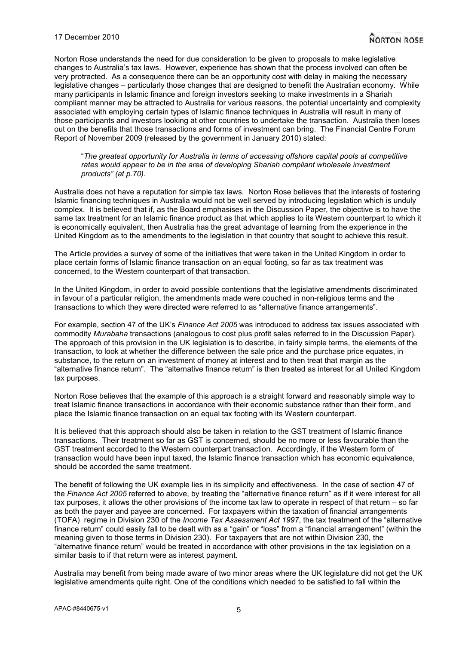Norton Rose understands the need for due consideration to be given to proposals to make legislative changes to Australia's tax laws. However, experience has shown that the process involved can often be very protracted. As a consequence there can be an opportunity cost with delay in making the necessary legislative changes – particularly those changes that are designed to benefit the Australian economy. While many participants in Islamic finance and foreign investors seeking to make investments in a Shariah compliant manner may be attracted to Australia for various reasons, the potential uncertainty and complexity associated with employing certain types of Islamic finance techniques in Australia will result in many of those participants and investors looking at other countries to undertake the transaction. Australia then loses out on the benefits that those transactions and forms of investment can bring. The Financial Centre Forum Report of November 2009 (released by the government in January 2010) stated:

"*The greatest opportunity for Australia in terms of accessing offshore capital pools at competitive*  rates would appear to be in the area of developing Shariah compliant wholesale investment *products" (at p.70)*.

Australia does not have a reputation for simple tax laws. Norton Rose believes that the interests of fostering Islamic financing techniques in Australia would not be well served by introducing legislation which is unduly complex. It is believed that if, as the Board emphasises in the Discussion Paper, the objective is to have the same tax treatment for an Islamic finance product as that which applies to its Western counterpart to which it is economically equivalent, then Australia has the great advantage of learning from the experience in the United Kingdom as to the amendments to the legislation in that country that sought to achieve this result.

The Article provides a survey of some of the initiatives that were taken in the United Kingdom in order to place certain forms of Islamic finance transaction on an equal footing, so far as tax treatment was concerned, to the Western counterpart of that transaction.

In the United Kingdom, in order to avoid possible contentions that the legislative amendments discriminated in favour of a particular religion, the amendments made were couched in non-religious terms and the transactions to which they were directed were referred to as "alternative finance arrangements".

For example, section 47 of the UK's *Finance Act 2005* was introduced to address tax issues associated with commodity *Murabaha* transactions (analogous to cost plus profit sales referred to in the Discussion Paper). The approach of this provision in the UK legislation is to describe, in fairly simple terms, the elements of the transaction, to look at whether the difference between the sale price and the purchase price equates, in substance, to the return on an investment of money at interest and to then treat that margin as the "alternative finance return". The "alternative finance return" is then treated as interest for all United Kingdom tax purposes.

Norton Rose believes that the example of this approach is a straight forward and reasonably simple way to treat Islamic finance transactions in accordance with their economic substance rather than their form, and place the Islamic finance transaction on an equal tax footing with its Western counterpart.

It is believed that this approach should also be taken in relation to the GST treatment of Islamic finance transactions. Their treatment so far as GST is concerned, should be no more or less favourable than the GST treatment accorded to the Western counterpart transaction. Accordingly, if the Western form of transaction would have been input taxed, the Islamic finance transaction which has economic equivalence, should be accorded the same treatment.

The benefit of following the UK example lies in its simplicity and effectiveness. In the case of section 47 of the *Finance Act 2005* referred to above, by treating the "alternative finance return" as if it were interest for all tax purposes, it allows the other provisions of the income tax law to operate in respect of that return – so far as both the payer and payee are concerned. For taxpayers within the taxation of financial arrangements (TOFA) regime in Division 230 of the *Income Tax Assessment Act 1997*, the tax treatment of the "alternative finance return" could easily fall to be dealt with as a "gain" or "loss" from a "financial arrangement" (within the meaning given to those terms in Division 230). For taxpayers that are not within Division 230, the "alternative finance return" would be treated in accordance with other provisions in the tax legislation on a similar basis to if that return were as interest payment.

Australia may benefit from being made aware of two minor areas where the UK legislature did not get the UK legislative amendments quite right. One of the conditions which needed to be satisfied to fall within the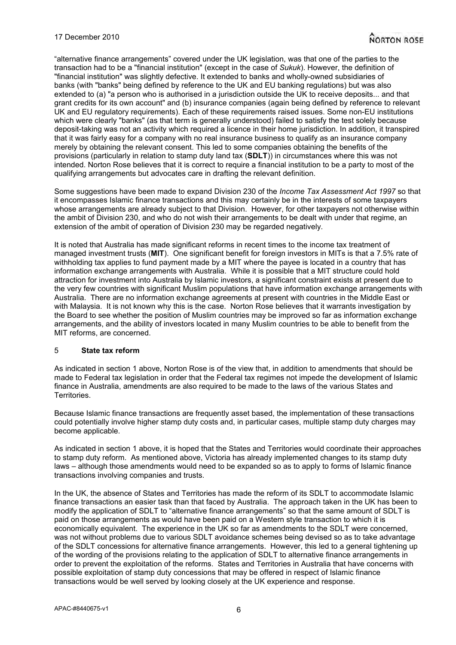"alternative finance arrangements" covered under the UK legislation, was that one of the parties to the transaction had to be a "financial institution" (except in the case of *Sukuk*). However, the definition of "financial institution" was slightly defective. It extended to banks and wholly-owned subsidiaries of banks (with "banks" being defined by reference to the UK and EU banking regulations) but was also extended to (a) "a person who is authorised in a jurisdiction outside the UK to receive deposits... and that grant credits for its own account" and (b) insurance companies (again being defined by reference to relevant UK and EU regulatory requirements). Each of these requirements raised issues. Some non-EU institutions which were clearly "banks" (as that term is generally understood) failed to satisfy the test solely because deposit-taking was not an activity which required a licence in their home jurisdiction. In addition, it transpired that it was fairly easy for a company with no real insurance business to qualify as an insurance company merely by obtaining the relevant consent. This led to some companies obtaining the benefits of the provisions (particularly in relation to stamp duty land tax (**SDLT**)) in circumstances where this was not intended. Norton Rose believes that it is correct to require a financial institution to be a party to most of the qualifying arrangements but advocates care in drafting the relevant definition.

Some suggestions have been made to expand Division 230 of the *Income Tax Assessment Act 1997* so that it encompasses Islamic finance transactions and this may certainly be in the interests of some taxpayers whose arrangements are already subject to that Division. However, for other taxpayers not otherwise within the ambit of Division 230, and who do not wish their arrangements to be dealt with under that regime, an extension of the ambit of operation of Division 230 may be regarded negatively.

It is noted that Australia has made significant reforms in recent times to the income tax treatment of managed investment trusts (**MIT**). One significant benefit for foreign investors in MITs is that a 7.5% rate of withholding tax applies to fund payment made by a MIT where the payee is located in a country that has information exchange arrangements with Australia. While it is possible that a MIT structure could hold attraction for investment into Australia by Islamic investors, a significant constraint exists at present due to the very few countries with significant Muslim populations that have information exchange arrangements with Australia. There are no information exchange agreements at present with countries in the Middle East or with Malaysia. It is not known why this is the case. Norton Rose believes that it warrants investigation by the Board to see whether the position of Muslim countries may be improved so far as information exchange arrangements, and the ability of investors located in many Muslim countries to be able to benefit from the MIT reforms, are concerned.

#### 5 **State tax reform**

As indicated in section 1 above, Norton Rose is of the view that, in addition to amendments that should be made to Federal tax legislation in order that the Federal tax regimes not impede the development of Islamic finance in Australia, amendments are also required to be made to the laws of the various States and Territories.

Because Islamic finance transactions are frequently asset based, the implementation of these transactions could potentially involve higher stamp duty costs and, in particular cases, multiple stamp duty charges may become applicable.

As indicated in section 1 above, it is hoped that the States and Territories would coordinate their approaches to stamp duty reform. As mentioned above, Victoria has already implemented changes to its stamp duty laws – although those amendments would need to be expanded so as to apply to forms of Islamic finance transactions involving companies and trusts.

In the UK, the absence of States and Territories has made the reform of its SDLT to accommodate Islamic finance transactions an easier task than that faced by Australia. The approach taken in the UK has been to modify the application of SDLT to "alternative finance arrangements" so that the same amount of SDLT is paid on those arrangements as would have been paid on a Western style transaction to which it is economically equivalent. The experience in the UK so far as amendments to the SDLT were concerned, was not without problems due to various SDLT avoidance schemes being devised so as to take advantage of the SDLT concessions for alternative finance arrangements. However, this led to a general tightening up of the wording of the provisions relating to the application of SDLT to alternative finance arrangements in order to prevent the exploitation of the reforms. States and Territories in Australia that have concerns with possible exploitation of stamp duty concessions that may be offered in respect of Islamic finance transactions would be well served by looking closely at the UK experience and response.